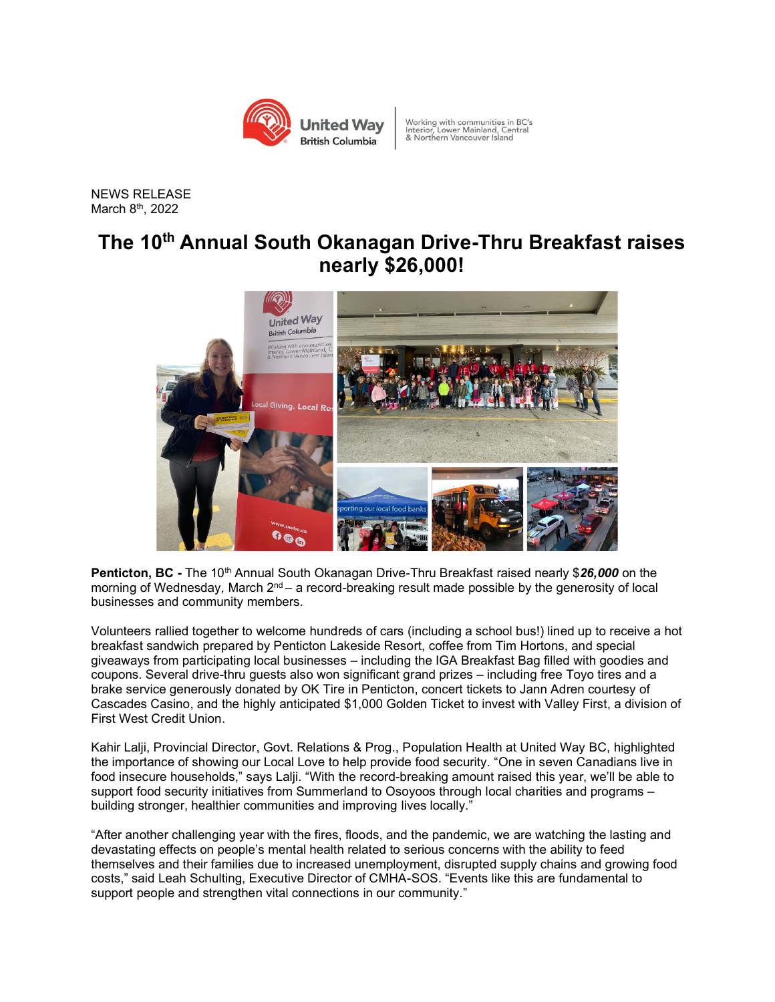

Working with communities in BC's<br>Interior, Lower Mainland, Central<br>& Northern Vancouver Island

NEWS RELEASE March 8 th, 2022

## **The 10 th Annual South Okanagan Drive-Thru Breakfast raises nearly \$26,000!**



Penticton, BC - The 10<sup>th</sup> Annual South Okanagan Drive-Thru Breakfast raised nearly \$26,000 on the morning of Wednesday, March 2<sup>nd</sup> – a record-breaking result made possible by the generosity of local businesses and community members.

Volunteers rallied together to welcome hundreds of cars (including a school bus!) lined up to receive a hot breakfast sandwich prepared by Penticton Lakeside Resort, coffee from Tim Hortons, and special giveaways from participating local businesses – including the IGA Breakfast Bag filled with goodies and coupons. Several drive-thru guests also won significant grand prizes – including free Toyo tires and a brake service generously donated by OK Tire in Penticton, concert tickets to Jann Adren courtesy of Cascades Casino, and the highly anticipated \$1,000 Golden Ticket to invest with Valley First, a division of First West Credit Union.

Kahir Lalji, Provincial Director, Govt. Relations & Prog., Population Health at United Way BC, highlighted the importance of showing our Local Love to help provide food security. "One in seven Canadians live in food insecure households," says Lalji. "With the record-breaking amount raised this year, we'll be able to support food security initiatives from Summerland to Osoyoos through local charities and programs – building stronger, healthier communities and improving lives locally."

"After another challenging year with the fires, floods, and the pandemic, we are watching the lasting and devastating effects on people's mental health related to serious concerns with the ability to feed themselves and their families due to increased unemployment, disrupted supply chains and growing food costs," said Leah Schulting, Executive Director of CMHA-SOS. "Events like this are fundamental to support people and strengthen vital connections in our community."